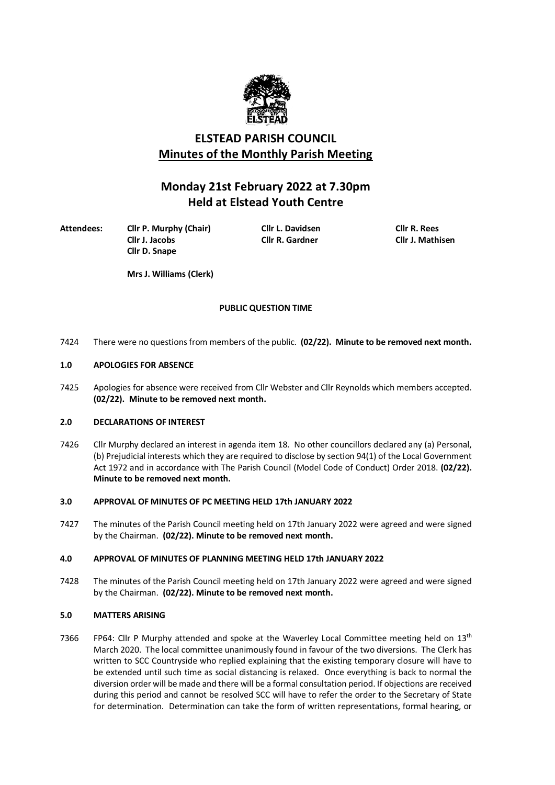

# **ELSTEAD PARISH COUNCIL Minutes of the Monthly Parish Meeting**

# **Monday 21st February 2022 at 7.30pm Held at Elstead Youth Centre**

**Attendees: Cllr P. Murphy (Chair) Cllr L. Davidsen Cllr R. Rees**

**Cllr J. Jacobs Cllr R. Gardner Cllr D. Snape**

**Mrs J. Williams (Clerk)**

# **PUBLIC QUESTION TIME**

7424 There were no questions from members of the public. **(02/22). Minute to be removed next month.**

## **1.0 APOLOGIES FOR ABSENCE**

7425 Apologies for absence were received from Cllr Webster and Cllr Reynolds which members accepted. **(02/22). Minute to be removed next month.**

## **2.0 DECLARATIONS OF INTEREST**

7426 Cllr Murphy declared an interest in agenda item 18. No other councillors declared any (a) Personal, (b) Prejudicial interests which they are required to disclose by section 94(1) of the Local Government Act 1972 and in accordance with The Parish Council (Model Code of Conduct) Order 2018. **(02/22). Minute to be removed next month.**

## **3.0 APPROVAL OF MINUTES OF PC MEETING HELD 17th JANUARY 2022**

7427 The minutes of the Parish Council meeting held on 17th January 2022 were agreed and were signed by the Chairman. **(02/22). Minute to be removed next month.**

## **4.0 APPROVAL OF MINUTES OF PLANNING MEETING HELD 17th JANUARY 2022**

7428 The minutes of the Parish Council meeting held on 17th January 2022 were agreed and were signed by the Chairman. **(02/22). Minute to be removed next month.**

## **5.0 MATTERS ARISING**

7366 FP64: Cllr P Murphy attended and spoke at the Waverley Local Committee meeting held on  $13<sup>th</sup>$ March 2020. The local committee unanimously found in favour of the two diversions. The Clerk has written to SCC Countryside who replied explaining that the existing temporary closure will have to be extended until such time as social distancing is relaxed. Once everything is back to normal the diversion order will be made and there will be a formal consultation period. If objections are received during this period and cannot be resolved SCC will have to refer the order to the Secretary of State for determination. Determination can take the form of written representations, formal hearing, or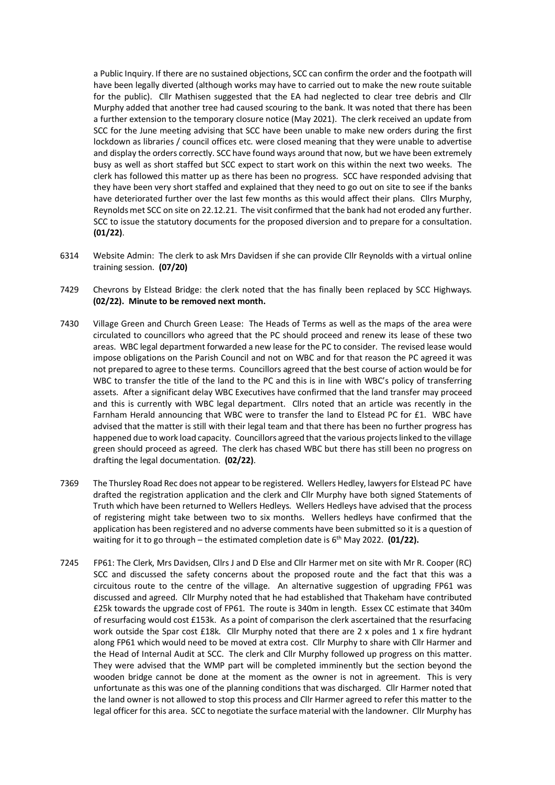a Public Inquiry. If there are no sustained objections, SCC can confirm the order and the footpath will have been legally diverted (although works may have to carried out to make the new route suitable for the public). Cllr Mathisen suggested that the EA had neglected to clear tree debris and Cllr Murphy added that another tree had caused scouring to the bank. It was noted that there has been a further extension to the temporary closure notice (May 2021). The clerk received an update from SCC for the June meeting advising that SCC have been unable to make new orders during the first lockdown as libraries / council offices etc. were closed meaning that they were unable to advertise and display the orders correctly. SCC have found ways around that now, but we have been extremely busy as well as short staffed but SCC expect to start work on this within the next two weeks. The clerk has followed this matter up as there has been no progress. SCC have responded advising that they have been very short staffed and explained that they need to go out on site to see if the banks have deteriorated further over the last few months as this would affect their plans. Cllrs Murphy, Reynolds met SCC on site on 22.12.21. The visit confirmed that the bank had not eroded any further. SCC to issue the statutory documents for the proposed diversion and to prepare for a consultation. **(01/22)**.

- 6314 Website Admin: The clerk to ask Mrs Davidsen if she can provide Cllr Reynolds with a virtual online training session. **(07/20)**
- 7429 Chevrons by Elstead Bridge: the clerk noted that the has finally been replaced by SCC Highways. **(02/22). Minute to be removed next month.**
- 7430 Village Green and Church Green Lease: The Heads of Terms as well as the maps of the area were circulated to councillors who agreed that the PC should proceed and renew its lease of these two areas. WBC legal department forwarded a new lease for the PC to consider. The revised lease would impose obligations on the Parish Council and not on WBC and for that reason the PC agreed it was not prepared to agree to these terms. Councillors agreed that the best course of action would be for WBC to transfer the title of the land to the PC and this is in line with WBC's policy of transferring assets. After a significant delay WBC Executives have confirmed that the land transfer may proceed and this is currently with WBC legal department. Cllrs noted that an article was recently in the Farnham Herald announcing that WBC were to transfer the land to Elstead PC for £1. WBC have advised that the matter is still with their legal team and that there has been no further progress has happened due to work load capacity. Councillors agreed that the various projects linked to the village green should proceed as agreed. The clerk has chased WBC but there has still been no progress on drafting the legal documentation. **(02/22)**.
- 7369 The Thursley Road Rec does not appear to be registered. Wellers Hedley, lawyers for Elstead PC have drafted the registration application and the clerk and Cllr Murphy have both signed Statements of Truth which have been returned to Wellers Hedleys. Wellers Hedleys have advised that the process of registering might take between two to six months. Wellers hedleys have confirmed that the application has been registered and no adverse comments have been submitted so it is a question of waiting for it to go through – the estimated completion date is 6<sup>th</sup> May 2022. **(01/22).**
- 7245 FP61: The Clerk, Mrs Davidsen, Cllrs J and D Else and Cllr Harmer met on site with Mr R. Cooper (RC) SCC and discussed the safety concerns about the proposed route and the fact that this was a circuitous route to the centre of the village. An alternative suggestion of upgrading FP61 was discussed and agreed. Cllr Murphy noted that he had established that Thakeham have contributed £25k towards the upgrade cost of FP61. The route is 340m in length. Essex CC estimate that 340m of resurfacing would cost £153k. As a point of comparison the clerk ascertained that the resurfacing work outside the Spar cost £18k. Cllr Murphy noted that there are 2 x poles and 1 x fire hydrant along FP61 which would need to be moved at extra cost. Cllr Murphy to share with Cllr Harmer and the Head of Internal Audit at SCC. The clerk and Cllr Murphy followed up progress on this matter. They were advised that the WMP part will be completed imminently but the section beyond the wooden bridge cannot be done at the moment as the owner is not in agreement. This is very unfortunate as this was one of the planning conditions that was discharged. Cllr Harmer noted that the land owner is not allowed to stop this process and Cllr Harmer agreed to refer this matter to the legal officer for this area. SCC to negotiate the surface material with the landowner. Cllr Murphy has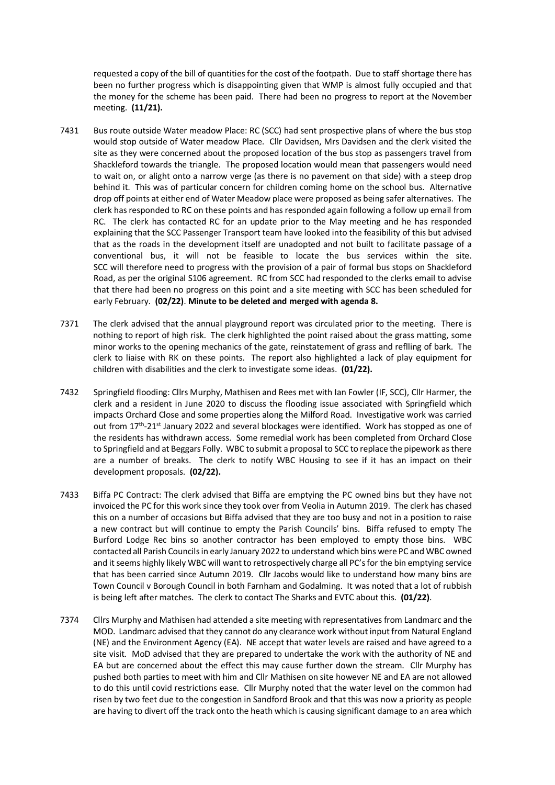requested a copy of the bill of quantities for the cost of the footpath. Due to staff shortage there has been no further progress which is disappointing given that WMP is almost fully occupied and that the money for the scheme has been paid. There had been no progress to report at the November meeting. **(11/21).** 

- 7431 Bus route outside Water meadow Place: RC (SCC) had sent prospective plans of where the bus stop would stop outside of Water meadow Place. Cllr Davidsen, Mrs Davidsen and the clerk visited the site as they were concerned about the proposed location of the bus stop as passengers travel from Shackleford towards the triangle. The proposed location would mean that passengers would need to wait on, or alight onto a narrow verge (as there is no pavement on that side) with a steep drop behind it. This was of particular concern for children coming home on the school bus. Alternative drop off points at either end of Water Meadow place were proposed as being safer alternatives. The clerk has responded to RC on these points and has responded again following a follow up email from RC. The clerk has contacted RC for an update prior to the May meeting and he has responded explaining that the SCC Passenger Transport team have looked into the feasibility of this but advised that as the roads in the development itself are unadopted and not built to facilitate passage of a conventional bus, it will not be feasible to locate the bus services within the site. SCC will therefore need to progress with the provision of a pair of formal bus stops on Shackleford Road, as per the original S106 agreement. RC from SCC had responded to the clerks email to advise that there had been no progress on this point and a site meeting with SCC has been scheduled for early February. **(02/22)**. **Minute to be deleted and merged with agenda 8.**
- 7371 The clerk advised that the annual playground report was circulated prior to the meeting. There is nothing to report of high risk. The clerk highlighted the point raised about the grass matting, some minor works to the opening mechanics of the gate, reinstatement of grass and reflling of bark. The clerk to liaise with RK on these points. The report also highlighted a lack of play equipment for children with disabilities and the clerk to investigate some ideas. **(01/22).**
- 7432 Springfield flooding: Cllrs Murphy, Mathisen and Rees met with Ian Fowler (IF, SCC), Cllr Harmer, the clerk and a resident in June 2020 to discuss the flooding issue associated with Springfield which impacts Orchard Close and some properties along the Milford Road. Investigative work was carried out from 17<sup>th</sup>-21<sup>st</sup> January 2022 and several blockages were identified. Work has stopped as one of the residents has withdrawn access. Some remedial work has been completed from Orchard Close to Springfield and at Beggars Folly. WBC to submit a proposal to SCC to replace the pipework as there are a number of breaks. The clerk to notify WBC Housing to see if it has an impact on their development proposals. **(02/22).**
- 7433 Biffa PC Contract: The clerk advised that Biffa are emptying the PC owned bins but they have not invoiced the PC for this work since they took over from Veolia in Autumn 2019. The clerk has chased this on a number of occasions but Biffa advised that they are too busy and not in a position to raise a new contract but will continue to empty the Parish Councils' bins. Biffa refused to empty The Burford Lodge Rec bins so another contractor has been employed to empty those bins. WBC contacted all Parish Councils in early January 2022 to understand which bins were PC and WBC owned and it seems highly likely WBC will want to retrospectively charge all PC's for the bin emptying service that has been carried since Autumn 2019. Cllr Jacobs would like to understand how many bins are Town Council v Borough Council in both Farnham and Godalming. It was noted that a lot of rubbish is being left after matches. The clerk to contact The Sharks and EVTC about this. **(01/22)**.
- 7374 Cllrs Murphy and Mathisen had attended a site meeting with representatives from Landmarc and the MOD. Landmarc advised that they cannot do any clearance work without input from Natural England (NE) and the Environment Agency (EA). NE accept that water levels are raised and have agreed to a site visit. MoD advised that they are prepared to undertake the work with the authority of NE and EA but are concerned about the effect this may cause further down the stream. Cllr Murphy has pushed both parties to meet with him and Cllr Mathisen on site however NE and EA are not allowed to do this until covid restrictions ease. Cllr Murphy noted that the water level on the common had risen by two feet due to the congestion in Sandford Brook and that this was now a priority as people are having to divert off the track onto the heath which is causing significant damage to an area which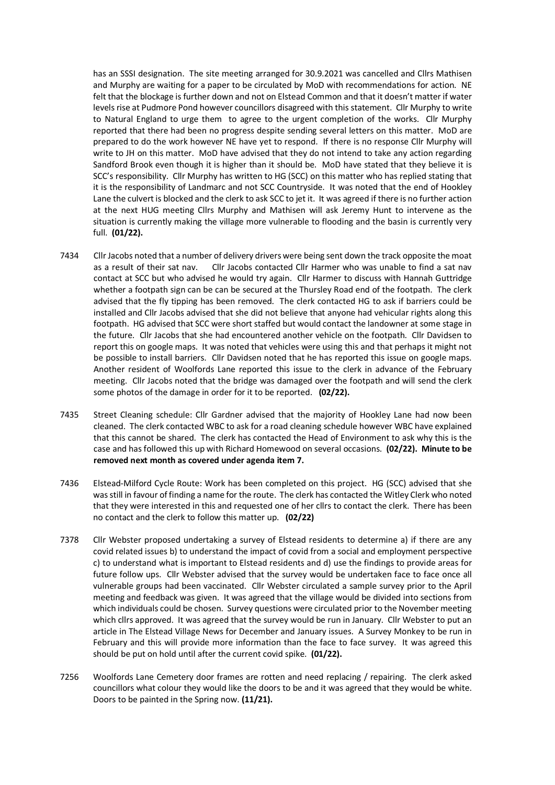has an SSSI designation. The site meeting arranged for 30.9.2021 was cancelled and Cllrs Mathisen and Murphy are waiting for a paper to be circulated by MoD with recommendations for action. NE felt that the blockage is further down and not on Elstead Common and that it doesn't matter if water levels rise at Pudmore Pond however councillors disagreed with this statement. Cllr Murphy to write to Natural England to urge them to agree to the urgent completion of the works. Cllr Murphy reported that there had been no progress despite sending several letters on this matter. MoD are prepared to do the work however NE have yet to respond. If there is no response Cllr Murphy will write to JH on this matter. MoD have advised that they do not intend to take any action regarding Sandford Brook even though it is higher than it should be. MoD have stated that they believe it is SCC's responsibility. Cllr Murphy has written to HG (SCC) on this matter who has replied stating that it is the responsibility of Landmarc and not SCC Countryside. It was noted that the end of Hookley Lane the culvert is blocked and the clerk to ask SCC to jet it. It was agreed if there is no further action at the next HUG meeting Cllrs Murphy and Mathisen will ask Jeremy Hunt to intervene as the situation is currently making the village more vulnerable to flooding and the basin is currently very full. **(01/22).**

- 7434 Cllr Jacobs noted that a number of delivery drivers were being sent down the track opposite the moat as a result of their sat nav. Cllr Jacobs contacted Cllr Harmer who was unable to find a sat nav contact at SCC but who advised he would try again. Cllr Harmer to discuss with Hannah Guttridge whether a footpath sign can be can be secured at the Thursley Road end of the footpath. The clerk advised that the fly tipping has been removed. The clerk contacted HG to ask if barriers could be installed and Cllr Jacobs advised that she did not believe that anyone had vehicular rights along this footpath. HG advised that SCC were short staffed but would contact the landowner at some stage in the future. Cllr Jacobs that she had encountered another vehicle on the footpath. Cllr Davidsen to report this on google maps. It was noted that vehicles were using this and that perhaps it might not be possible to install barriers. Cllr Davidsen noted that he has reported this issue on google maps. Another resident of Woolfords Lane reported this issue to the clerk in advance of the February meeting. Cllr Jacobs noted that the bridge was damaged over the footpath and will send the clerk some photos of the damage in order for it to be reported. **(02/22).**
- 7435 Street Cleaning schedule: Cllr Gardner advised that the majority of Hookley Lane had now been cleaned. The clerk contacted WBC to ask for a road cleaning schedule however WBC have explained that this cannot be shared. The clerk has contacted the Head of Environment to ask why this is the case and has followed this up with Richard Homewood on several occasions. **(02/22). Minute to be removed next month as covered under agenda item 7.**
- 7436 Elstead-Milford Cycle Route: Work has been completed on this project. HG (SCC) advised that she was still in favour of finding a name for the route. The clerk has contacted the Witley Clerk who noted that they were interested in this and requested one of her cllrs to contact the clerk. There has been no contact and the clerk to follow this matter up. **(02/22)**
- 7378 Cllr Webster proposed undertaking a survey of Elstead residents to determine a) if there are any covid related issues b) to understand the impact of covid from a social and employment perspective c) to understand what is important to Elstead residents and d) use the findings to provide areas for future follow ups. Cllr Webster advised that the survey would be undertaken face to face once all vulnerable groups had been vaccinated. Cllr Webster circulated a sample survey prior to the April meeting and feedback was given. It was agreed that the village would be divided into sections from which individuals could be chosen. Survey questions were circulated prior to the November meeting which cllrs approved. It was agreed that the survey would be run in January. Cllr Webster to put an article in The Elstead Village News for December and January issues. A Survey Monkey to be run in February and this will provide more information than the face to face survey. It was agreed this should be put on hold until after the current covid spike. **(01/22).**
- 7256 Woolfords Lane Cemetery door frames are rotten and need replacing / repairing. The clerk asked councillors what colour they would like the doors to be and it was agreed that they would be white. Doors to be painted in the Spring now. **(11/21).**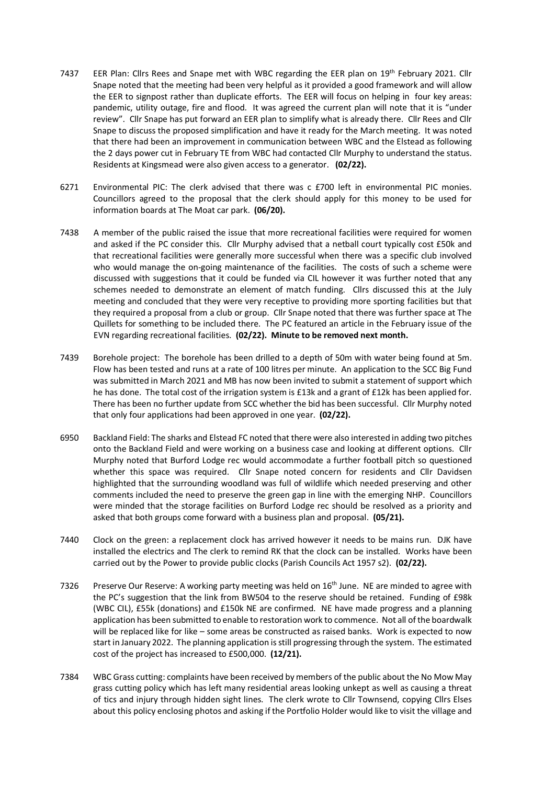- 7437 EER Plan: Clirs Rees and Snape met with WBC regarding the EER plan on 19<sup>th</sup> February 2021. Clir Snape noted that the meeting had been very helpful as it provided a good framework and will allow the EER to signpost rather than duplicate efforts. The EER will focus on helping in four key areas: pandemic, utility outage, fire and flood. It was agreed the current plan will note that it is "under review". Cllr Snape has put forward an EER plan to simplify what is already there. Cllr Rees and Cllr Snape to discuss the proposed simplification and have it ready for the March meeting. It was noted that there had been an improvement in communication between WBC and the Elstead as following the 2 days power cut in February TE from WBC had contacted Cllr Murphy to understand the status. Residents at Kingsmead were also given access to a generator. **(02/22).**
- 6271 Environmental PIC: The clerk advised that there was c £700 left in environmental PIC monies. Councillors agreed to the proposal that the clerk should apply for this money to be used for information boards at The Moat car park. **(06/20).**
- 7438 A member of the public raised the issue that more recreational facilities were required for women and asked if the PC consider this. Cllr Murphy advised that a netball court typically cost £50k and that recreational facilities were generally more successful when there was a specific club involved who would manage the on-going maintenance of the facilities. The costs of such a scheme were discussed with suggestions that it could be funded via CIL however it was further noted that any schemes needed to demonstrate an element of match funding. Cllrs discussed this at the July meeting and concluded that they were very receptive to providing more sporting facilities but that they required a proposal from a club or group. Cllr Snape noted that there was further space at The Quillets for something to be included there. The PC featured an article in the February issue of the EVN regarding recreational facilities. **(02/22). Minute to be removed next month.**
- 7439 Borehole project: The borehole has been drilled to a depth of 50m with water being found at 5m. Flow has been tested and runs at a rate of 100 litres per minute. An application to the SCC Big Fund was submitted in March 2021 and MB has now been invited to submit a statement of support which he has done. The total cost of the irrigation system is £13k and a grant of £12k has been applied for. There has been no further update from SCC whether the bid has been successful. Cllr Murphy noted that only four applications had been approved in one year. **(02/22).**
- 6950 Backland Field: The sharks and Elstead FC noted that there were also interested in adding two pitches onto the Backland Field and were working on a business case and looking at different options. Cllr Murphy noted that Burford Lodge rec would accommodate a further football pitch so questioned whether this space was required. Cllr Snape noted concern for residents and Cllr Davidsen highlighted that the surrounding woodland was full of wildlife which needed preserving and other comments included the need to preserve the green gap in line with the emerging NHP. Councillors were minded that the storage facilities on Burford Lodge rec should be resolved as a priority and asked that both groups come forward with a business plan and proposal. **(05/21).**
- 7440 Clock on the green: a replacement clock has arrived however it needs to be mains run. DJK have installed the electrics and The clerk to remind RK that the clock can be installed. Works have been carried out by the Power to provide public clocks (Parish Councils Act 1957 s2). **(02/22).**
- 7326 Preserve Our Reserve: A working party meeting was held on 16<sup>th</sup> June. NE are minded to agree with the PC's suggestion that the link from BW504 to the reserve should be retained. Funding of £98k (WBC CIL), £55k (donations) and £150k NE are confirmed. NE have made progress and a planning application has been submitted to enable to restoration work to commence. Not all of the boardwalk will be replaced like for like – some areas be constructed as raised banks. Work is expected to now start in January 2022. The planning application is still progressing through the system. The estimated cost of the project has increased to £500,000. **(12/21).**
- 7384 WBC Grass cutting: complaints have been received by members of the public about the No Mow May grass cutting policy which has left many residential areas looking unkept as well as causing a threat of tics and injury through hidden sight lines. The clerk wrote to Cllr Townsend, copying Cllrs Elses about this policy enclosing photos and asking if the Portfolio Holder would like to visit the village and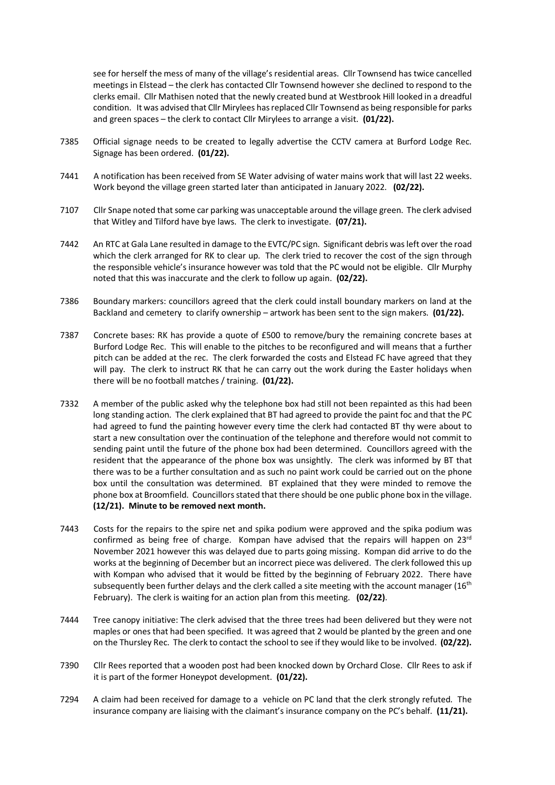see for herself the mess of many of the village's residential areas. Cllr Townsend has twice cancelled meetings in Elstead – the clerk has contacted Cllr Townsend however she declined to respond to the clerks email. Cllr Mathisen noted that the newly created bund at Westbrook Hill looked in a dreadful condition. It was advised that Cllr Mirylees has replaced Cllr Townsend as being responsible for parks and green spaces – the clerk to contact Cllr Mirylees to arrange a visit. **(01/22).** 

- 7385 Official signage needs to be created to legally advertise the CCTV camera at Burford Lodge Rec. Signage has been ordered. **(01/22).**
- 7441 A notification has been received from SE Water advising of water mains work that will last 22 weeks. Work beyond the village green started later than anticipated in January 2022. **(02/22).**
- 7107 Cllr Snape noted that some car parking was unacceptable around the village green. The clerk advised that Witley and Tilford have bye laws. The clerk to investigate. **(07/21).**
- 7442 An RTC at Gala Lane resulted in damage to the EVTC/PC sign. Significant debris was left over the road which the clerk arranged for RK to clear up. The clerk tried to recover the cost of the sign through the responsible vehicle's insurance however was told that the PC would not be eligible. Cllr Murphy noted that this was inaccurate and the clerk to follow up again. **(02/22).**
- 7386 Boundary markers: councillors agreed that the clerk could install boundary markers on land at the Backland and cemetery to clarify ownership – artwork has been sent to the sign makers. **(01/22).**
- 7387 Concrete bases: RK has provide a quote of £500 to remove/bury the remaining concrete bases at Burford Lodge Rec. This will enable to the pitches to be reconfigured and will means that a further pitch can be added at the rec. The clerk forwarded the costs and Elstead FC have agreed that they will pay. The clerk to instruct RK that he can carry out the work during the Easter holidays when there will be no football matches / training. **(01/22).**
- 7332 A member of the public asked why the telephone box had still not been repainted as this had been long standing action. The clerk explained that BT had agreed to provide the paint foc and that the PC had agreed to fund the painting however every time the clerk had contacted BT thy were about to start a new consultation over the continuation of the telephone and therefore would not commit to sending paint until the future of the phone box had been determined. Councillors agreed with the resident that the appearance of the phone box was unsightly. The clerk was informed by BT that there was to be a further consultation and as such no paint work could be carried out on the phone box until the consultation was determined. BT explained that they were minded to remove the phone box at Broomfield. Councillors stated that there should be one public phone box in the village. **(12/21). Minute to be removed next month.**
- 7443 Costs for the repairs to the spire net and spika podium were approved and the spika podium was confirmed as being free of charge. Kompan have advised that the repairs will happen on  $23<sup>rd</sup>$ November 2021 however this was delayed due to parts going missing. Kompan did arrive to do the works at the beginning of December but an incorrect piece was delivered. The clerk followed this up with Kompan who advised that it would be fitted by the beginning of February 2022. There have subsequently been further delays and the clerk called a site meeting with the account manager  $(16<sup>th</sup>)$ February). The clerk is waiting for an action plan from this meeting. **(02/22)**.
- 7444 Tree canopy initiative: The clerk advised that the three trees had been delivered but they were not maples or ones that had been specified. It was agreed that 2 would be planted by the green and one on the Thursley Rec. The clerk to contact the school to see if they would like to be involved. **(02/22).**
- 7390 Cllr Rees reported that a wooden post had been knocked down by Orchard Close. Cllr Rees to ask if it is part of the former Honeypot development. **(01/22).**
- 7294 A claim had been received for damage to a vehicle on PC land that the clerk strongly refuted. The insurance company are liaising with the claimant's insurance company on the PC's behalf. **(11/21).**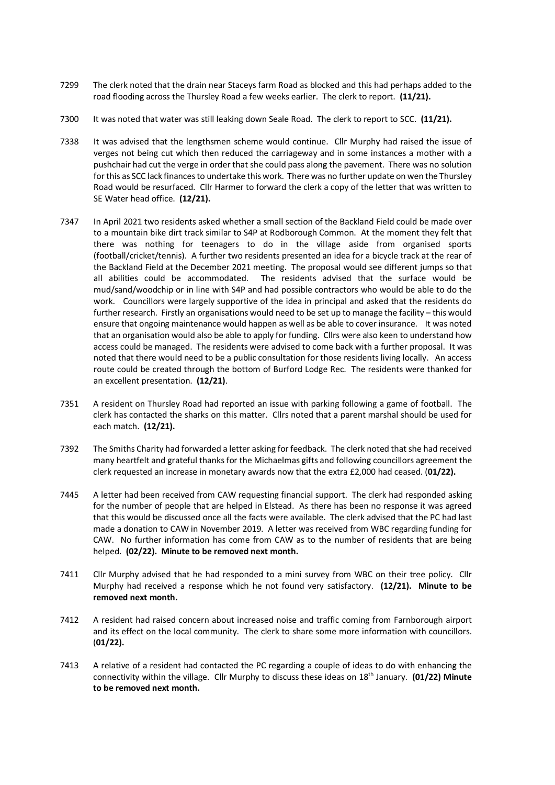- 7299 The clerk noted that the drain near Staceys farm Road as blocked and this had perhaps added to the road flooding across the Thursley Road a few weeks earlier. The clerk to report. **(11/21).**
- 7300 It was noted that water was still leaking down Seale Road. The clerk to report to SCC. **(11/21).**
- 7338 It was advised that the lengthsmen scheme would continue. Cllr Murphy had raised the issue of verges not being cut which then reduced the carriageway and in some instances a mother with a pushchair had cut the verge in order that she could pass along the pavement. There was no solution for this as SCC lack finances to undertake this work. There was no further update on wen the Thursley Road would be resurfaced. Cllr Harmer to forward the clerk a copy of the letter that was written to SE Water head office. **(12/21).**
- 7347 In April 2021 two residents asked whether a small section of the Backland Field could be made over to a mountain bike dirt track similar to S4P at Rodborough Common. At the moment they felt that there was nothing for teenagers to do in the village aside from organised sports (football/cricket/tennis). A further two residents presented an idea for a bicycle track at the rear of the Backland Field at the December 2021 meeting. The proposal would see different jumps so that all abilities could be accommodated. The residents advised that the surface would be mud/sand/woodchip or in line with S4P and had possible contractors who would be able to do the work. Councillors were largely supportive of the idea in principal and asked that the residents do further research. Firstly an organisations would need to be set up to manage the facility – this would ensure that ongoing maintenance would happen as well as be able to cover insurance. It was noted that an organisation would also be able to apply for funding. Cllrs were also keen to understand how access could be managed. The residents were advised to come back with a further proposal. It was noted that there would need to be a public consultation for those residents living locally. An access route could be created through the bottom of Burford Lodge Rec. The residents were thanked for an excellent presentation. **(12/21)**.
- 7351 A resident on Thursley Road had reported an issue with parking following a game of football. The clerk has contacted the sharks on this matter. Cllrs noted that a parent marshal should be used for each match. **(12/21).**
- 7392 The Smiths Charity had forwarded a letter asking for feedback. The clerk noted that she had received many heartfelt and grateful thanks for the Michaelmas gifts and following councillors agreement the clerk requested an increase in monetary awards now that the extra £2,000 had ceased. (**01/22).**
- 7445 A letter had been received from CAW requesting financial support. The clerk had responded asking for the number of people that are helped in Elstead. As there has been no response it was agreed that this would be discussed once all the facts were available. The clerk advised that the PC had last made a donation to CAW in November 2019. A letter was received from WBC regarding funding for CAW. No further information has come from CAW as to the number of residents that are being helped. **(02/22). Minute to be removed next month.**
- 7411 Cllr Murphy advised that he had responded to a mini survey from WBC on their tree policy. Cllr Murphy had received a response which he not found very satisfactory. **(12/21). Minute to be removed next month.**
- 7412 A resident had raised concern about increased noise and traffic coming from Farnborough airport and its effect on the local community. The clerk to share some more information with councillors. (**01/22).**
- 7413 A relative of a resident had contacted the PC regarding a couple of ideas to do with enhancing the connectivity within the village. Cllr Murphy to discuss these ideas on 18th January. **(01/22) Minute to be removed next month.**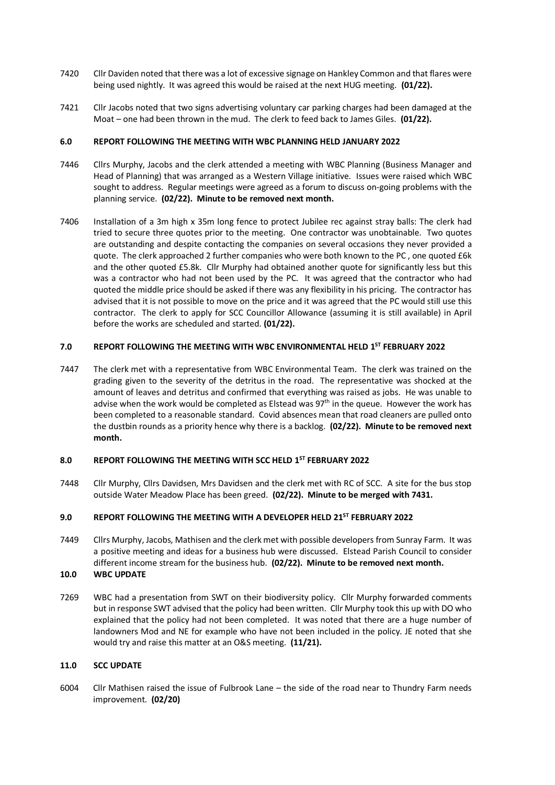- 7420 Cllr Daviden noted that there was a lot of excessive signage on Hankley Common and that flares were being used nightly. It was agreed this would be raised at the next HUG meeting. **(01/22).**
- 7421 Cllr Jacobs noted that two signs advertising voluntary car parking charges had been damaged at the Moat – one had been thrown in the mud. The clerk to feed back to James Giles. **(01/22).**

#### **6.0 REPORT FOLLOWING THE MEETING WITH WBC PLANNING HELD JANUARY 2022**

- 7446 Cllrs Murphy, Jacobs and the clerk attended a meeting with WBC Planning (Business Manager and Head of Planning) that was arranged as a Western Village initiative. Issues were raised which WBC sought to address. Regular meetings were agreed as a forum to discuss on-going problems with the planning service. **(02/22). Minute to be removed next month.**
- 7406 Installation of a 3m high x 35m long fence to protect Jubilee rec against stray balls: The clerk had tried to secure three quotes prior to the meeting. One contractor was unobtainable. Two quotes are outstanding and despite contacting the companies on several occasions they never provided a quote. The clerk approached 2 further companies who were both known to the PC , one quoted £6k and the other quoted £5.8k. Cllr Murphy had obtained another quote for significantly less but this was a contractor who had not been used by the PC. It was agreed that the contractor who had quoted the middle price should be asked if there was any flexibility in his pricing. The contractor has advised that it is not possible to move on the price and it was agreed that the PC would still use this contractor. The clerk to apply for SCC Councillor Allowance (assuming it is still available) in April before the works are scheduled and started. **(01/22).**

## **7.0 REPORT FOLLOWING THE MEETING WITH WBC ENVIRONMENTAL HELD 1ST FEBRUARY 2022**

7447 The clerk met with a representative from WBC Environmental Team. The clerk was trained on the grading given to the severity of the detritus in the road. The representative was shocked at the amount of leaves and detritus and confirmed that everything was raised as jobs. He was unable to advise when the work would be completed as Elstead was  $97<sup>th</sup>$  in the queue. However the work has been completed to a reasonable standard. Covid absences mean that road cleaners are pulled onto the dustbin rounds as a priority hence why there is a backlog. **(02/22). Minute to be removed next month.**

#### **8.0 REPORT FOLLOWING THE MEETING WITH SCC HELD 1ST FEBRUARY 2022**

7448 Cllr Murphy, Cllrs Davidsen, Mrs Davidsen and the clerk met with RC of SCC. A site for the bus stop outside Water Meadow Place has been greed. **(02/22). Minute to be merged with 7431.**

## **9.0 REPORT FOLLOWING THE MEETING WITH A DEVELOPER HELD 21ST FEBRUARY 2022**

7449 Cllrs Murphy, Jacobs, Mathisen and the clerk met with possible developers from Sunray Farm. It was a positive meeting and ideas for a business hub were discussed. Elstead Parish Council to consider different income stream for the business hub. **(02/22). Minute to be removed next month.**

## **10.0 WBC UPDATE**

7269 WBC had a presentation from SWT on their biodiversity policy. Cllr Murphy forwarded comments but in response SWT advised that the policy had been written. Cllr Murphy took this up with DO who explained that the policy had not been completed. It was noted that there are a huge number of landowners Mod and NE for example who have not been included in the policy. JE noted that she would try and raise this matter at an O&S meeting. **(11/21).**

#### **11.0 SCC UPDATE**

6004 Cllr Mathisen raised the issue of Fulbrook Lane – the side of the road near to Thundry Farm needs improvement. **(02/20)**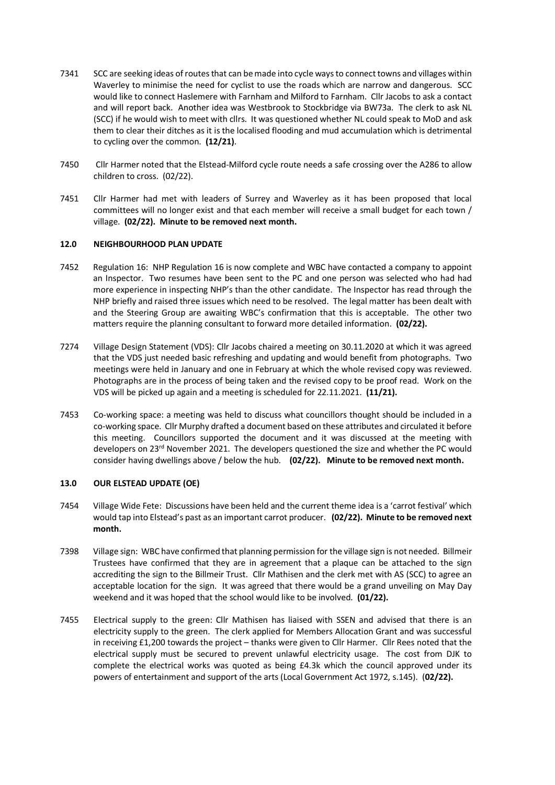- 7341 SCC are seeking ideas of routes that can be made into cycle ways to connect towns and villages within Waverley to minimise the need for cyclist to use the roads which are narrow and dangerous. SCC would like to connect Haslemere with Farnham and Milford to Farnham. Cllr Jacobs to ask a contact and will report back. Another idea was Westbrook to Stockbridge via BW73a. The clerk to ask NL (SCC) if he would wish to meet with cllrs. It was questioned whether NL could speak to MoD and ask them to clear their ditches as it is the localised flooding and mud accumulation which is detrimental to cycling over the common. **(12/21)**.
- 7450 Cllr Harmer noted that the Elstead-Milford cycle route needs a safe crossing over the A286 to allow children to cross. (02/22).
- 7451 Cllr Harmer had met with leaders of Surrey and Waverley as it has been proposed that local committees will no longer exist and that each member will receive a small budget for each town / village. **(02/22). Minute to be removed next month.**

#### **12.0 NEIGHBOURHOOD PLAN UPDATE**

- 7452 Regulation 16: NHP Regulation 16 is now complete and WBC have contacted a company to appoint an Inspector. Two resumes have been sent to the PC and one person was selected who had had more experience in inspecting NHP's than the other candidate. The Inspector has read through the NHP briefly and raised three issues which need to be resolved. The legal matter has been dealt with and the Steering Group are awaiting WBC's confirmation that this is acceptable. The other two matters require the planning consultant to forward more detailed information. **(02/22).**
- 7274 Village Design Statement (VDS): Cllr Jacobs chaired a meeting on 30.11.2020 at which it was agreed that the VDS just needed basic refreshing and updating and would benefit from photographs. Two meetings were held in January and one in February at which the whole revised copy was reviewed. Photographs are in the process of being taken and the revised copy to be proof read. Work on the VDS will be picked up again and a meeting is scheduled for 22.11.2021. **(11/21).**
- 7453 Co-working space: a meeting was held to discuss what councillors thought should be included in a co-working space. Cllr Murphy drafted a document based on these attributes and circulated it before this meeting. Councillors supported the document and it was discussed at the meeting with developers on 23<sup>rd</sup> November 2021. The developers questioned the size and whether the PC would consider having dwellings above / below the hub. **(02/22). Minute to be removed next month.**

## **13.0 OUR ELSTEAD UPDATE (OE)**

- 7454 Village Wide Fete: Discussions have been held and the current theme idea is a 'carrot festival' which would tap into Elstead's past as an important carrot producer. **(02/22). Minute to be removed next month.**
- 7398 Village sign: WBC have confirmed that planning permission for the village sign is not needed. Billmeir Trustees have confirmed that they are in agreement that a plaque can be attached to the sign accrediting the sign to the Billmeir Trust. Cllr Mathisen and the clerk met with AS (SCC) to agree an acceptable location for the sign. It was agreed that there would be a grand unveiling on May Day weekend and it was hoped that the school would like to be involved. **(01/22).**
- 7455 Electrical supply to the green: Cllr Mathisen has liaised with SSEN and advised that there is an electricity supply to the green. The clerk applied for Members Allocation Grant and was successful in receiving £1,200 towards the project – thanks were given to Cllr Harmer. Cllr Rees noted that the electrical supply must be secured to prevent unlawful electricity usage. The cost from DJK to complete the electrical works was quoted as being £4.3k which the council approved under its powers of entertainment and support of the arts (Local Government Act 1972, s.145). (**02/22).**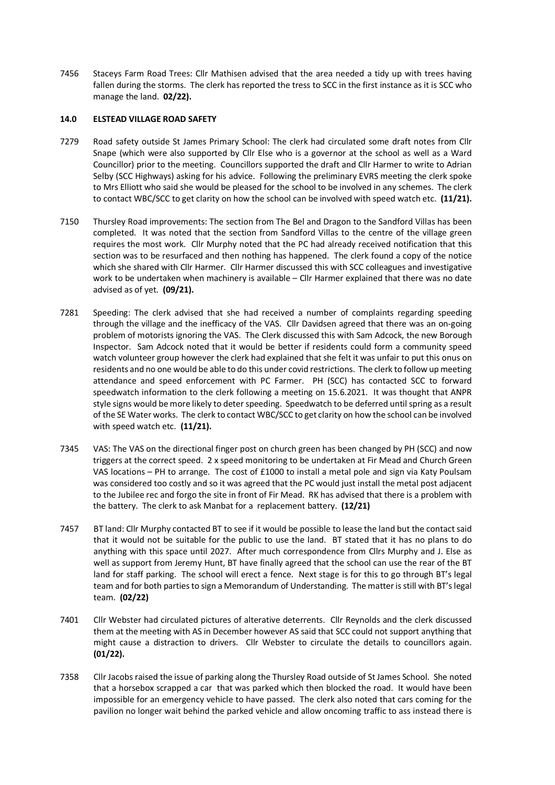7456 Staceys Farm Road Trees: Cllr Mathisen advised that the area needed a tidy up with trees having fallen during the storms. The clerk has reported the tress to SCC in the first instance as it is SCC who manage the land. **02/22).**

#### **14.0 ELSTEAD VILLAGE ROAD SAFETY**

- 7279 Road safety outside St James Primary School: The clerk had circulated some draft notes from Cllr Snape (which were also supported by Cllr Else who is a governor at the school as well as a Ward Councillor) prior to the meeting. Councillors supported the draft and Cllr Harmer to write to Adrian Selby (SCC Highways) asking for his advice. Following the preliminary EVRS meeting the clerk spoke to Mrs Elliott who said she would be pleased for the school to be involved in any schemes. The clerk to contact WBC/SCC to get clarity on how the school can be involved with speed watch etc. **(11/21).**
- 7150 Thursley Road improvements: The section from The Bel and Dragon to the Sandford Villas has been completed. It was noted that the section from Sandford Villas to the centre of the village green requires the most work. Cllr Murphy noted that the PC had already received notification that this section was to be resurfaced and then nothing has happened. The clerk found a copy of the notice which she shared with Cllr Harmer. Cllr Harmer discussed this with SCC colleagues and investigative work to be undertaken when machinery is available – Cllr Harmer explained that there was no date advised as of yet. **(09/21).**
- 7281 Speeding: The clerk advised that she had received a number of complaints regarding speeding through the village and the inefficacy of the VAS. Cllr Davidsen agreed that there was an on-going problem of motorists ignoring the VAS. The Clerk discussed this with Sam Adcock, the new Borough Inspector. Sam Adcock noted that it would be better if residents could form a community speed watch volunteer group however the clerk had explained that she felt it was unfair to put this onus on residents and no one would be able to do this under covid restrictions. The clerk to follow up meeting attendance and speed enforcement with PC Farmer. PH (SCC) has contacted SCC to forward speedwatch information to the clerk following a meeting on 15.6.2021. It was thought that ANPR style signs would be more likely to deter speeding. Speedwatch to be deferred until spring as a result of the SE Water works. The clerk to contact WBC/SCC to get clarity on how the school can be involved with speed watch etc. **(11/21).**
- 7345 VAS: The VAS on the directional finger post on church green has been changed by PH (SCC) and now triggers at the correct speed. 2 x speed monitoring to be undertaken at Fir Mead and Church Green VAS locations – PH to arrange. The cost of £1000 to install a metal pole and sign via Katy Poulsam was considered too costly and so it was agreed that the PC would just install the metal post adjacent to the Jubilee rec and forgo the site in front of Fir Mead. RK has advised that there is a problem with the battery. The clerk to ask Manbat for a replacement battery. **(12/21)**
- 7457 BT land: Cllr Murphy contacted BT to see if it would be possible to lease the land but the contact said that it would not be suitable for the public to use the land. BT stated that it has no plans to do anything with this space until 2027. After much correspondence from Cllrs Murphy and J. Else as well as support from Jeremy Hunt, BT have finally agreed that the school can use the rear of the BT land for staff parking. The school will erect a fence. Next stage is for this to go through BT's legal team and for both parties to sign a Memorandum of Understanding. The matter is still with BT's legal team. **(02/22)**
- 7401 Cllr Webster had circulated pictures of alterative deterrents. Cllr Reynolds and the clerk discussed them at the meeting with AS in December however AS said that SCC could not support anything that might cause a distraction to drivers. Cllr Webster to circulate the details to councillors again. **(01/22).**
- 7358 Cllr Jacobs raised the issue of parking along the Thursley Road outside of St James School. She noted that a horsebox scrapped a car that was parked which then blocked the road. It would have been impossible for an emergency vehicle to have passed. The clerk also noted that cars coming for the pavilion no longer wait behind the parked vehicle and allow oncoming traffic to ass instead there is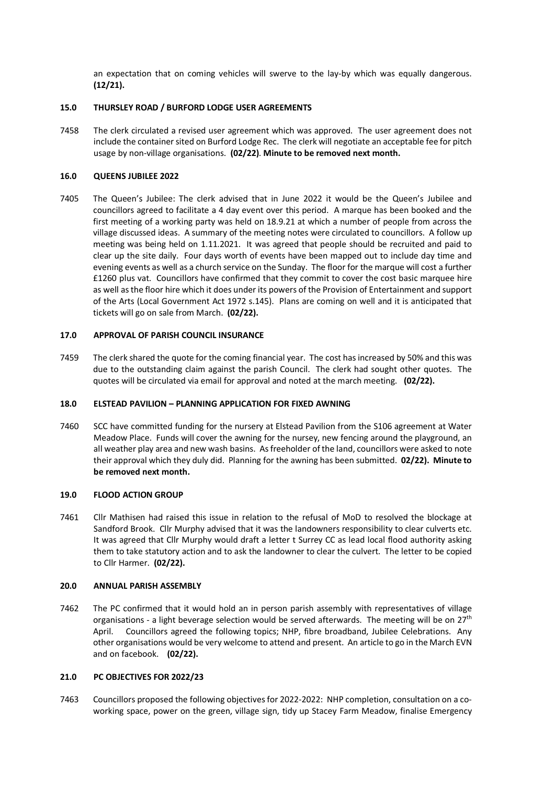an expectation that on coming vehicles will swerve to the lay-by which was equally dangerous. **(12/21).**

## **15.0 THURSLEY ROAD / BURFORD LODGE USER AGREEMENTS**

7458 The clerk circulated a revised user agreement which was approved. The user agreement does not include the container sited on Burford Lodge Rec. The clerk will negotiate an acceptable fee for pitch usage by non-village organisations. **(02/22)**. **Minute to be removed next month.**

## **16.0 QUEENS JUBILEE 2022**

7405 The Queen's Jubilee: The clerk advised that in June 2022 it would be the Queen's Jubilee and councillors agreed to facilitate a 4 day event over this period. A marque has been booked and the first meeting of a working party was held on 18.9.21 at which a number of people from across the village discussed ideas. A summary of the meeting notes were circulated to councillors. A follow up meeting was being held on 1.11.2021. It was agreed that people should be recruited and paid to clear up the site daily. Four days worth of events have been mapped out to include day time and evening events as well as a church service on the Sunday. The floor for the marque will cost a further £1260 plus vat. Councillors have confirmed that they commit to cover the cost basic marquee hire as well as the floor hire which it does under its powers of the Provision of Entertainment and support of the Arts (Local Government Act 1972 s.145). Plans are coming on well and it is anticipated that tickets will go on sale from March. **(02/22).** 

## **17.0 APPROVAL OF PARISH COUNCIL INSURANCE**

7459 The clerk shared the quote for the coming financial year. The cost has increased by 50% and this was due to the outstanding claim against the parish Council. The clerk had sought other quotes. The quotes will be circulated via email for approval and noted at the march meeting. **(02/22).**

## **18.0 ELSTEAD PAVILION – PLANNING APPLICATION FOR FIXED AWNING**

7460 SCC have committed funding for the nursery at Elstead Pavilion from the S106 agreement at Water Meadow Place. Funds will cover the awning for the nursey, new fencing around the playground, an all weather play area and new wash basins. As freeholder of the land, councillors were asked to note their approval which they duly did. Planning for the awning has been submitted. **02/22). Minute to be removed next month.**

## **19.0 FLOOD ACTION GROUP**

7461 Cllr Mathisen had raised this issue in relation to the refusal of MoD to resolved the blockage at Sandford Brook. Cllr Murphy advised that it was the landowners responsibility to clear culverts etc. It was agreed that Cllr Murphy would draft a letter t Surrey CC as lead local flood authority asking them to take statutory action and to ask the landowner to clear the culvert. The letter to be copied to Cllr Harmer. **(02/22).**

## **20.0 ANNUAL PARISH ASSEMBLY**

7462 The PC confirmed that it would hold an in person parish assembly with representatives of village organisations - a light beverage selection would be served afterwards. The meeting will be on  $27<sup>th</sup>$ April. Councillors agreed the following topics; NHP, fibre broadband, Jubilee Celebrations. Any other organisations would be very welcome to attend and present. An article to go in the March EVN and on facebook. **(02/22).**

## **21.0 PC OBJECTIVES FOR 2022/23**

7463 Councillors proposed the following objectives for 2022-2022: NHP completion, consultation on a coworking space, power on the green, village sign, tidy up Stacey Farm Meadow, finalise Emergency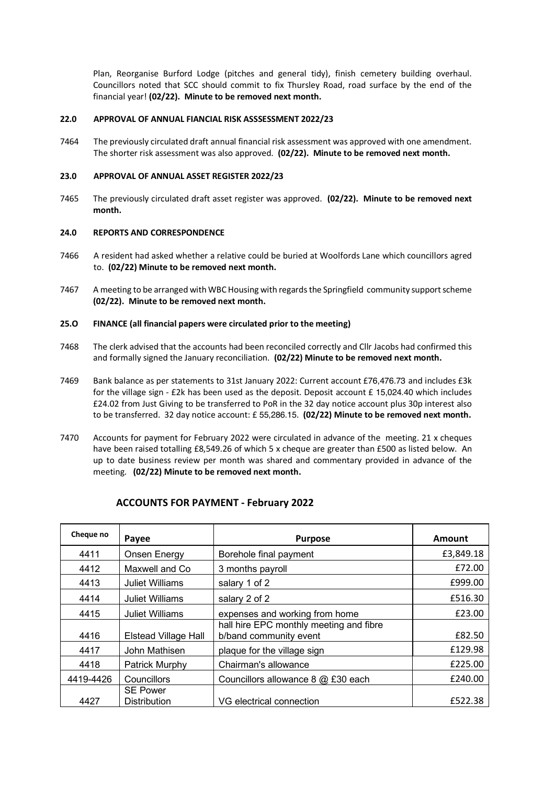Plan, Reorganise Burford Lodge (pitches and general tidy), finish cemetery building overhaul. Councillors noted that SCC should commit to fix Thursley Road, road surface by the end of the financial year! **(02/22). Minute to be removed next month.**

#### **22.0 APPROVAL OF ANNUAL FIANCIAL RISK ASSSESSMENT 2022/23**

7464 The previously circulated draft annual financial risk assessment was approved with one amendment. The shorter risk assessment was also approved. **(02/22). Minute to be removed next month.**

#### **23.0 APPROVAL OF ANNUAL ASSET REGISTER 2022/23**

7465 The previously circulated draft asset register was approved. **(02/22). Minute to be removed next month.**

#### **24.0 REPORTS AND CORRESPONDENCE**

- 7466 A resident had asked whether a relative could be buried at Woolfords Lane which councillors agred to. **(02/22) Minute to be removed next month.**
- 7467 A meeting to be arranged with WBC Housing with regards the Springfield community support scheme **(02/22). Minute to be removed next month.**

#### **25.O FINANCE (all financial papers were circulated prior to the meeting)**

- 7468 The clerk advised that the accounts had been reconciled correctly and Cllr Jacobs had confirmed this and formally signed the January reconciliation. **(02/22) Minute to be removed next month.**
- 7469 Bank balance as per statements to 31st January 2022: Current account £76,476.73 and includes £3k for the village sign - £2k has been used as the deposit. Deposit account £ 15,024.40 which includes £24.02 from Just Giving to be transferred to PoR in the 32 day notice account plus 30p interest also to be transferred. 32 day notice account: £ 55,286.15. **(02/22) Minute to be removed next month.**
- 7470 Accounts for payment for February 2022 were circulated in advance of the meeting. 21 x cheques have been raised totalling £8,549.26 of which 5 x cheque are greater than £500 as listed below. An up to date business review per month was shared and commentary provided in advance of the meeting. **(02/22) Minute to be removed next month.**

| Cheque no | Payee                                  | <b>Purpose</b>                                                    | <b>Amount</b> |
|-----------|----------------------------------------|-------------------------------------------------------------------|---------------|
| 4411      | Onsen Energy                           | Borehole final payment                                            | £3,849.18     |
| 4412      | Maxwell and Co.                        | 3 months payroll                                                  | £72.00        |
| 4413      | <b>Juliet Williams</b>                 | salary 1 of 2                                                     | £999.00       |
| 4414      | Juliet Williams                        | salary 2 of 2                                                     | £516.30       |
| 4415      | <b>Juliet Williams</b>                 | expenses and working from home                                    | £23.00        |
| 4416      | <b>Elstead Village Hall</b>            | hall hire EPC monthly meeting and fibre<br>b/band community event | £82.50        |
| 4417      | John Mathisen                          | plaque for the village sign                                       | £129.98       |
| 4418      | Patrick Murphy                         | Chairman's allowance                                              | £225.00       |
| 4419-4426 | Councillors                            | Councillors allowance 8 @ £30 each                                | £240.00       |
| 4427      | <b>SE Power</b><br><b>Distribution</b> | VG electrical connection                                          | £522.38       |

# **ACCOUNTS FOR PAYMENT - February 2022**